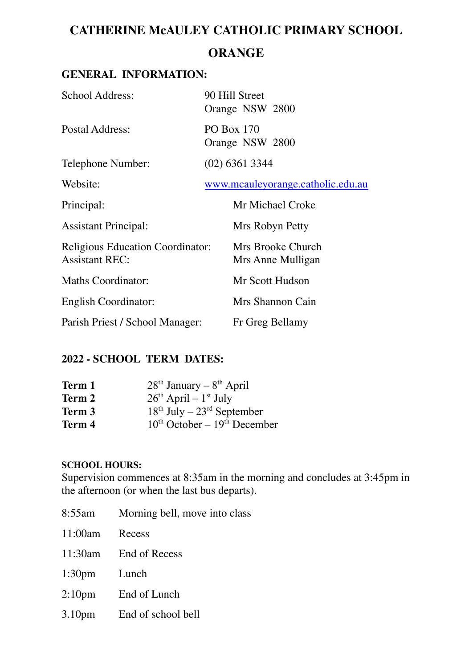# **CATHERINE McAULEY CATHOLIC PRIMARY SCHOOL ORANGE**

# **GENERAL INFORMATION:**

| <b>School Address:</b>                                           | 90 Hill Street<br>Orange NSW 2800      |
|------------------------------------------------------------------|----------------------------------------|
| Postal Address:                                                  | <b>PO Box 170</b><br>Orange NSW 2800   |
| Telephone Number:                                                | $(02)$ 6361 3344                       |
| Website:                                                         | www.mcauleyorange.catholic.edu.au      |
| Principal:                                                       | Mr Michael Croke                       |
| <b>Assistant Principal:</b>                                      | Mrs Robyn Petty                        |
| <b>Religious Education Coordinator:</b><br><b>Assistant REC:</b> | Mrs Brooke Church<br>Mrs Anne Mulligan |
| <b>Maths Coordinator:</b>                                        | Mr Scott Hudson                        |
| <b>English Coordinator:</b>                                      | Mrs Shannon Cain                       |
| Parish Priest / School Manager:                                  | Fr Greg Bellamy                        |

# **2022 - SCHOOL TERM DATES:**

| Term 1 | $28th$ January – $8th$ April           |
|--------|----------------------------------------|
| Term 2 | $26th$ April – $1st$ July              |
| Term 3 | $18th$ July – $23rd$ September         |
| Term 4 | $10^{th}$ October – $19^{th}$ December |

#### **SCHOOL HOURS:**

Supervision commences at 8:35am in the morning and concludes at 3:45pm in the afternoon (or when the last bus departs).

- 8:55am Morning bell, move into class 11:00am Recess 11:30am End of Recess 1:30pm Lunch 2:10pm End of Lunch
- 3.10pm End of school bell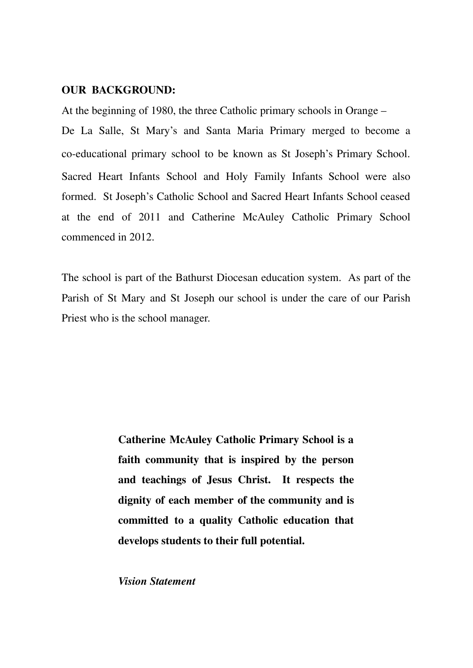#### **OUR BACKGROUND:**

At the beginning of 1980, the three Catholic primary schools in Orange –

De La Salle, St Mary's and Santa Maria Primary merged to become a co-educational primary school to be known as St Joseph's Primary School. Sacred Heart Infants School and Holy Family Infants School were also formed. St Joseph's Catholic School and Sacred Heart Infants School ceased at the end of 2011 and Catherine McAuley Catholic Primary School commenced in 2012.

The school is part of the Bathurst Diocesan education system. As part of the Parish of St Mary and St Joseph our school is under the care of our Parish Priest who is the school manager.

> **Catherine McAuley Catholic Primary School is a faith community that is inspired by the person and teachings of Jesus Christ. It respects the dignity of each member of the community and is committed to a quality Catholic education that develops students to their full potential.**

*Vision Statement*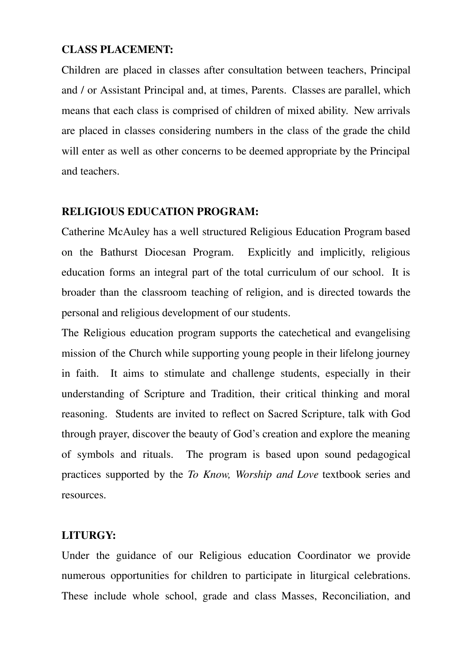#### **CLASS PLACEMENT:**

Children are placed in classes after consultation between teachers, Principal and / or Assistant Principal and, at times, Parents. Classes are parallel, which means that each class is comprised of children of mixed ability. New arrivals are placed in classes considering numbers in the class of the grade the child will enter as well as other concerns to be deemed appropriate by the Principal and teachers.

### **RELIGIOUS EDUCATION PROGRAM:**

Catherine McAuley has a well structured Religious Education Program based on the Bathurst Diocesan Program. Explicitly and implicitly, religious education forms an integral part of the total curriculum of our school. It is broader than the classroom teaching of religion, and is directed towards the personal and religious development of our students.

The Religious education program supports the catechetical and evangelising mission of the Church while supporting young people in their lifelong journey in faith. It aims to stimulate and challenge students, especially in their understanding of Scripture and Tradition, their critical thinking and moral reasoning. Students are invited to reflect on Sacred Scripture, talk with God through prayer, discover the beauty of God's creation and explore the meaning of symbols and rituals. The program is based upon sound pedagogical practices supported by the *To Know, Worship and Love* textbook series and resources.

# **LITURGY:**

Under the guidance of our Religious education Coordinator we provide numerous opportunities for children to participate in liturgical celebrations. These include whole school, grade and class Masses, Reconciliation, and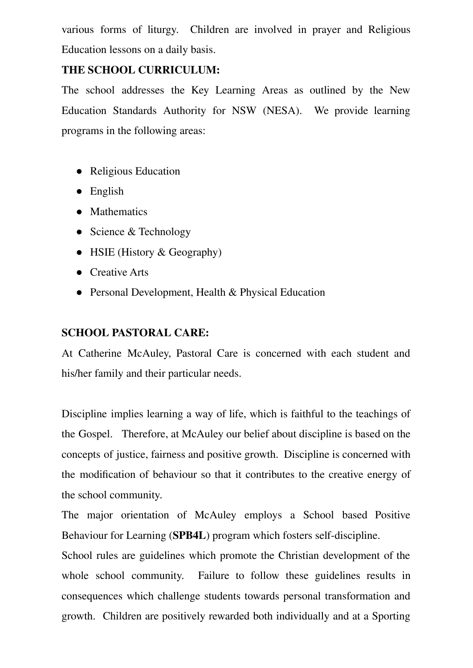various forms of liturgy. Children are involved in prayer and Religious Education lessons on a daily basis.

# **THE SCHOOL CURRICULUM:**

The school addresses the Key Learning Areas as outlined by the New Education Standards Authority for NSW (NESA). We provide learning programs in the following areas:

- Religious Education
- English
- Mathematics
- Science & Technology
- HSIE (History & Geography)
- Creative Arts
- Personal Development, Health & Physical Education

# **SCHOOL PASTORAL CARE:**

At Catherine McAuley, Pastoral Care is concerned with each student and his/her family and their particular needs.

Discipline implies learning a way of life, which is faithful to the teachings of the Gospel. Therefore, at McAuley our belief about discipline is based on the concepts of justice, fairness and positive growth. Discipline is concerned with the modification of behaviour so that it contributes to the creative energy of the school community.

The major orientation of McAuley employs a School based Positive Behaviour for Learning (**SPB4L**) program which fosters self-discipline.

School rules are guidelines which promote the Christian development of the whole school community. Failure to follow these guidelines results in consequences which challenge students towards personal transformation and growth. Children are positively rewarded both individually and at a Sporting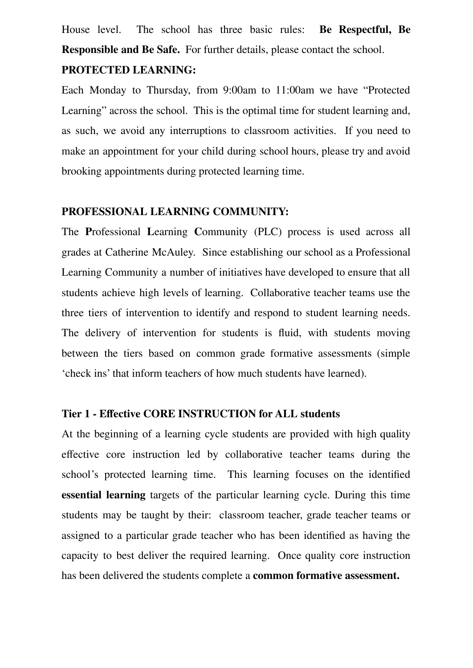House level. The school has three basic rules: **Be Respectful, Be Responsible and Be Safe.** For further details, please contact the school.

#### **PROTECTED LEARNING:**

Each Monday to Thursday, from 9:00am to 11:00am we have "Protected Learning" across the school. This is the optimal time for student learning and, as such, we avoid any interruptions to classroom activities. If you need to make an appointment for your child during school hours, please try and avoid brooking appointments during protected learning time.

#### **PROFESSIONAL LEARNING COMMUNITY:**

The **P**rofessional **L**earning **C**ommunity (PLC) process is used across all grades at Catherine McAuley. Since establishing our school as a Professional Learning Community a number of initiatives have developed to ensure that all students achieve high levels of learning. Collaborative teacher teams use the three tiers of intervention to identify and respond to student learning needs. The delivery of intervention for students is fluid, with students moving between the tiers based on common grade formative assessments (simple 'check ins' that inform teachers of how much students have learned).

#### **Tier 1 - Effective CORE INSTRUCTION for ALL students**

At the beginning of a learning cycle students are provided with high quality effective core instruction led by collaborative teacher teams during the school's protected learning time. This learning focuses on the identified **essential learning** targets of the particular learning cycle. During this time students may be taught by their: classroom teacher, grade teacher teams or assigned to a particular grade teacher who has been identified as having the capacity to best deliver the required learning. Once quality core instruction has been delivered the students complete a **common formative assessment.**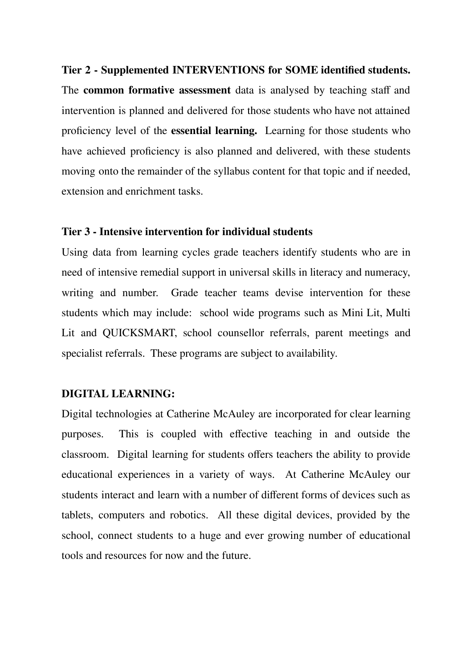#### **Tier 2 - Supplemented INTERVENTIONS for SOME identified students.**

The **common formative assessment** data is analysed by teaching staff and intervention is planned and delivered for those students who have not attained proficiency level of the **essential learning.** Learning for those students who have achieved proficiency is also planned and delivered, with these students moving onto the remainder of the syllabus content for that topic and if needed, extension and enrichment tasks.

#### **Tier 3 - Intensive intervention for individual students**

Using data from learning cycles grade teachers identify students who are in need of intensive remedial support in universal skills in literacy and numeracy, writing and number. Grade teacher teams devise intervention for these students which may include: school wide programs such as Mini Lit, Multi Lit and QUICKSMART, school counsellor referrals, parent meetings and specialist referrals. These programs are subject to availability.

#### **DIGITAL LEARNING:**

Digital technologies at Catherine McAuley are incorporated for clear learning purposes. This is coupled with effective teaching in and outside the classroom. Digital learning for students offers teachers the ability to provide educational experiences in a variety of ways. At Catherine McAuley our students interact and learn with a number of different forms of devices such as tablets, computers and robotics. All these digital devices, provided by the school, connect students to a huge and ever growing number of educational tools and resources for now and the future.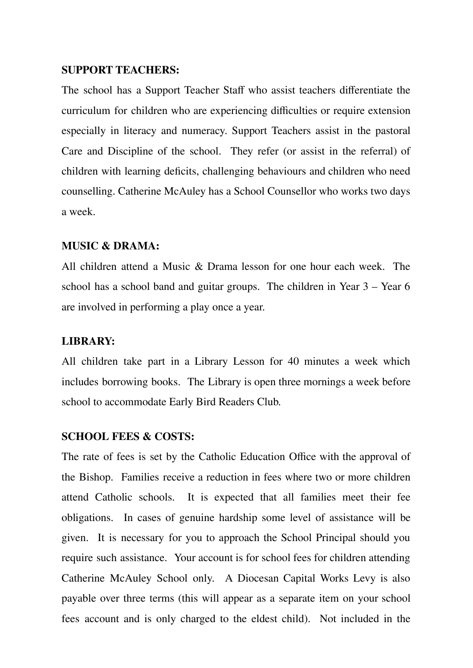#### **SUPPORT TEACHERS:**

The school has a Support Teacher Staff who assist teachers differentiate the curriculum for children who are experiencing difficulties or require extension especially in literacy and numeracy. Support Teachers assist in the pastoral Care and Discipline of the school. They refer (or assist in the referral) of children with learning deficits, challenging behaviours and children who need counselling. Catherine McAuley has a School Counsellor who works two days a week.

#### **MUSIC & DRAMA:**

All children attend a Music & Drama lesson for one hour each week. The school has a school band and guitar groups. The children in Year 3 – Year 6 are involved in performing a play once a year.

#### **LIBRARY:**

All children take part in a Library Lesson for 40 minutes a week which includes borrowing books. The Library is open three mornings a week before school to accommodate Early Bird Readers Club.

#### **SCHOOL FEES & COSTS:**

The rate of fees is set by the Catholic Education Office with the approval of the Bishop. Families receive a reduction in fees where two or more children attend Catholic schools. It is expected that all families meet their fee obligations. In cases of genuine hardship some level of assistance will be given. It is necessary for you to approach the School Principal should you require such assistance. Your account is for school fees for children attending Catherine McAuley School only. A Diocesan Capital Works Levy is also payable over three terms (this will appear as a separate item on your school fees account and is only charged to the eldest child). Not included in the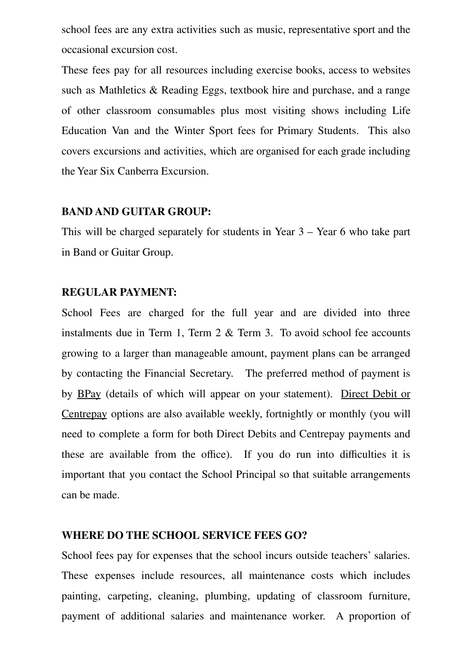school fees are any extra activities such as music, representative sport and the occasional excursion cost.

These fees pay for all resources including exercise books, access to websites such as Mathletics & Reading Eggs, textbook hire and purchase, and a range of other classroom consumables plus most visiting shows including Life Education Van and the Winter Sport fees for Primary Students. This also covers excursions and activities, which are organised for each grade including the Year Six Canberra Excursion.

#### **BAND AND GUITAR GROUP:**

This will be charged separately for students in Year 3 – Year 6 who take part in Band or Guitar Group.

#### **REGULAR PAYMENT:**

School Fees are charged for the full year and are divided into three instalments due in Term 1, Term 2 & Term 3. To avoid school fee accounts growing to a larger than manageable amount, payment plans can be arranged by contacting the Financial Secretary. The preferred method of payment is by BPay (details of which will appear on your statement). Direct Debit or Centrepay options are also available weekly, fortnightly or monthly (you will need to complete a form for both Direct Debits and Centrepay payments and these are available from the office). If you do run into difficulties it is important that you contact the School Principal so that suitable arrangements can be made.

#### **WHERE DO THE SCHOOL SERVICE FEES GO?**

School fees pay for expenses that the school incurs outside teachers' salaries. These expenses include resources, all maintenance costs which includes painting, carpeting, cleaning, plumbing, updating of classroom furniture, payment of additional salaries and maintenance worker. A proportion of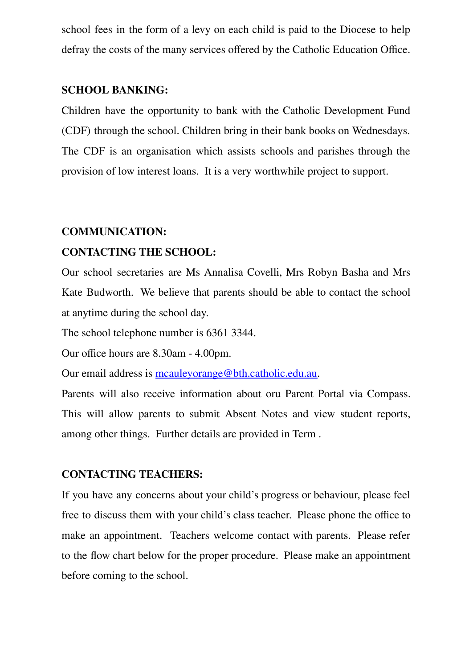school fees in the form of a levy on each child is paid to the Diocese to help defray the costs of the many services offered by the Catholic Education Office.

#### **SCHOOL BANKING:**

Children have the opportunity to bank with the Catholic Development Fund (CDF) through the school. Children bring in their bank books on Wednesdays. The CDF is an organisation which assists schools and parishes through the provision of low interest loans. It is a very worthwhile project to support.

#### **COMMUNICATION:**

#### **CONTACTING THE SCHOOL:**

Our school secretaries are Ms Annalisa Covelli, Mrs Robyn Basha and Mrs Kate Budworth. We believe that parents should be able to contact the school at anytime during the school day.

The school telephone number is 6361 3344.

Our office hours are 8.30am - 4.00pm.

Our email address is [mcauleyorange@bth.catholic.edu.au.](mailto:mcauleyorange@bth.catholic.edu.au)

Parents will also receive information about oru Parent Portal via Compass. This will allow parents to submit Absent Notes and view student reports, among other things. Further details are provided in Term .

#### **CONTACTING TEACHERS:**

If you have any concerns about your child's progress or behaviour, please feel free to discuss them with your child's class teacher. Please phone the office to make an appointment. Teachers welcome contact with parents. Please refer to the flow chart below for the proper procedure. Please make an appointment before coming to the school.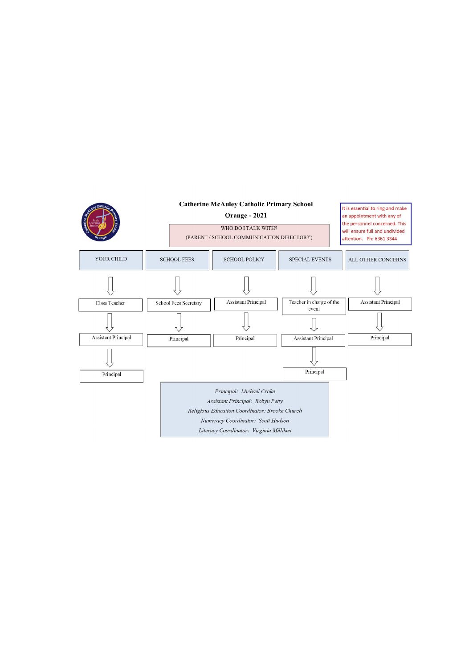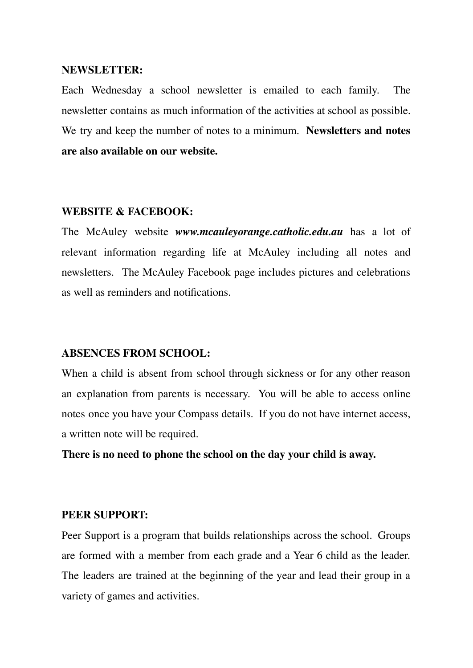#### **NEWSLETTER:**

Each Wednesday a school newsletter is emailed to each family. The newsletter contains as much information of the activities at school as possible. We try and keep the number of notes to a minimum. **Newsletters and notes are also available on our website.**

#### **WEBSITE & FACEBOOK:**

The McAuley website *www.mcauleyorange.catholic.edu.au* has a lot of relevant information regarding life at McAuley including all notes and newsletters. The McAuley Facebook page includes pictures and celebrations as well as reminders and notifications.

#### **ABSENCES FROM SCHOOL:**

When a child is absent from school through sickness or for any other reason an explanation from parents is necessary. You will be able to access online notes once you have your Compass details. If you do not have internet access, a written note will be required.

**There is no need to phone the school on the day your child is away.**

#### **PEER SUPPORT:**

Peer Support is a program that builds relationships across the school. Groups are formed with a member from each grade and a Year 6 child as the leader. The leaders are trained at the beginning of the year and lead their group in a variety of games and activities.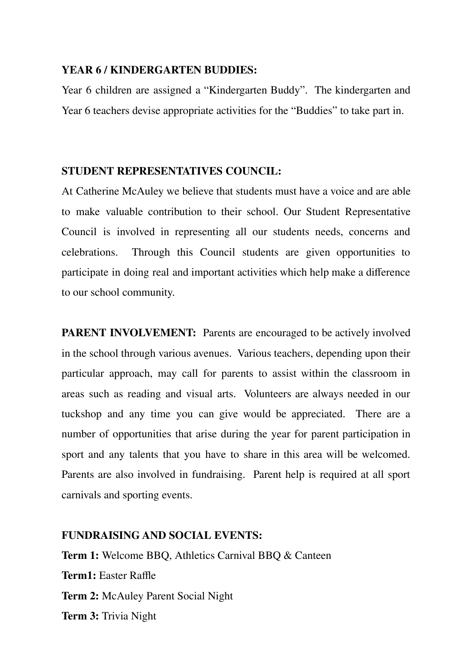#### **YEAR 6 / KINDERGARTEN BUDDIES:**

Year 6 children are assigned a "Kindergarten Buddy". The kindergarten and Year 6 teachers devise appropriate activities for the "Buddies" to take part in.

### **STUDENT REPRESENTATIVES COUNCIL:**

At Catherine McAuley we believe that students must have a voice and are able to make valuable contribution to their school. Our Student Representative Council is involved in representing all our students needs, concerns and celebrations. Through this Council students are given opportunities to participate in doing real and important activities which help make a difference to our school community.

**PARENT INVOLVEMENT:** Parents are encouraged to be actively involved in the school through various avenues. Various teachers, depending upon their particular approach, may call for parents to assist within the classroom in areas such as reading and visual arts. Volunteers are always needed in our tuckshop and any time you can give would be appreciated. There are a number of opportunities that arise during the year for parent participation in sport and any talents that you have to share in this area will be welcomed. Parents are also involved in fundraising. Parent help is required at all sport carnivals and sporting events.

### **FUNDRAISING AND SOCIAL EVENTS:**

**Term 1:** Welcome BBQ, Athletics Carnival BBQ & Canteen **Term1:** Easter Raffle **Term 2:** McAuley Parent Social Night **Term 3:** Trivia Night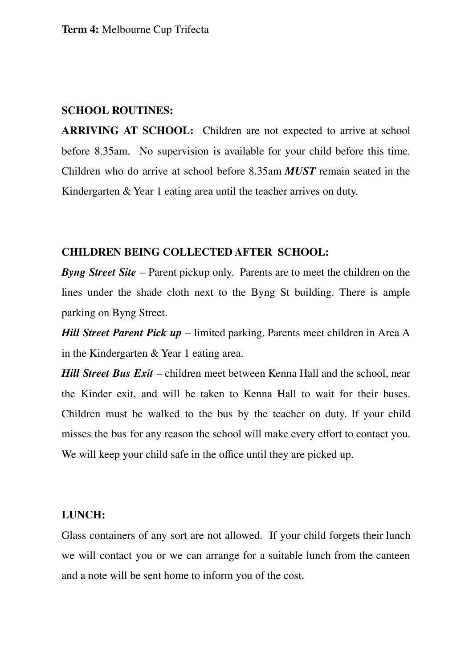#### **SCHOOL ROUTINES:**

**ARRIVING AT SCHOOL:** Children are not expected to arrive at school before 8.35am. No supervision is available for your child before this time. Children who do arrive at school before 8.35am *MUST* remain seated in the Kindergarten & Year 1 eating area until the teacher arrives on duty.

#### **CHILDREN BEING COLLECTED AFTER SCHOOL:**

*Byng Street Site* – Parent pickup only. Parents are to meet the children on the lines under the shade cloth next to the Byng St building. There is ample parking on Byng Street.

*Hill Street Parent Pick up* – limited parking. Parents meet children in Area A in the Kindergarten & Year 1 eating area.

*Hill Street Bus Exit* – children meet between Kenna Hall and the school, near the Kinder exit, and will be taken to Kenna Hall to wait for their buses. Children must be walked to the bus by the teacher on duty. If your child misses the bus for any reason the school will make every effort to contact you. We will keep your child safe in the office until they are picked up.

#### **LUNCH:**

Glass containers of any sort are not allowed. If your child forgets their lunch we will contact you or we can arrange for a suitable lunch from the canteen and a note will be sent home to inform you of the cost.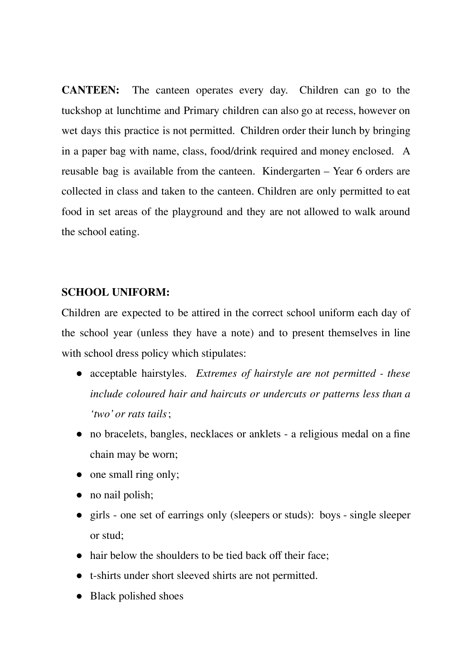**CANTEEN:** The canteen operates every day. Children can go to the tuckshop at lunchtime and Primary children can also go at recess, however on wet days this practice is not permitted. Children order their lunch by bringing in a paper bag with name, class, food/drink required and money enclosed. A reusable bag is available from the canteen. Kindergarten – Year 6 orders are collected in class and taken to the canteen. Children are only permitted to eat food in set areas of the playground and they are not allowed to walk around the school eating.

#### **SCHOOL UNIFORM:**

Children are expected to be attired in the correct school uniform each day of the school year (unless they have a note) and to present themselves in line with school dress policy which stipulates:

- acceptable hairstyles. *Extremes of hairstyle are not permitted - these include coloured hair and haircuts or undercuts or patterns less than a 'two' or rats tails*;
- no bracelets, bangles, necklaces or anklets a religious medal on a fine chain may be worn;
- one small ring only;
- no nail polish;
- girls one set of earrings only (sleepers or studs): boys single sleeper or stud;
- hair below the shoulders to be tied back off their face;
- t-shirts under short sleeved shirts are not permitted.
- Black polished shoes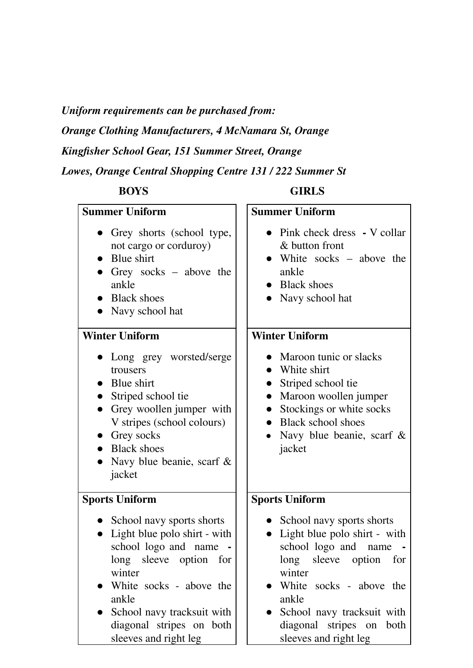*Uniform requirements can be purchased from:*

*Orange Clothing Manufacturers, 4 McNamara St, Orange*

*Kingfisher School Gear, 151 Summer Street, Orange*

*Lowes, Orange Central Shopping Centre 131 / 222 Summer St*

# **BOYS GIRLS**

| <b>Summer Uniform</b>                                                                                                                                                                                                                          | <b>Summer Uniform</b>                                                                                                                                                                                                                          |
|------------------------------------------------------------------------------------------------------------------------------------------------------------------------------------------------------------------------------------------------|------------------------------------------------------------------------------------------------------------------------------------------------------------------------------------------------------------------------------------------------|
| • Grey shorts (school type,<br>not cargo or corduroy)<br>Blue shirt<br>Grey socks $-$ above the<br>ankle<br>• Black shoes<br>Navy school hat                                                                                                   | • Pink check dress - V collar<br>& button front<br>• White socks – above the<br>ankle<br><b>Black shoes</b><br>Navy school hat                                                                                                                 |
| <b>Winter Uniform</b>                                                                                                                                                                                                                          | <b>Winter Uniform</b>                                                                                                                                                                                                                          |
| Long grey worsted/serge<br>trousers<br>• Blue shirt<br>Striped school tie<br>Grey woollen jumper with<br>V stripes (school colours)<br>$\bullet$ Grey socks<br>• Black shoes<br>Navy blue beanie, scarf $\&$<br>jacket                         | Maroon tunic or slacks<br>White shirt<br>Striped school tie<br>Maroon woollen jumper<br>Stockings or white socks<br>• Black school shoes<br>Navy blue beanie, scarf $\&$<br>jacket                                                             |
| <b>Sports Uniform</b>                                                                                                                                                                                                                          | <b>Sports Uniform</b>                                                                                                                                                                                                                          |
| • School navy sports shorts<br>Light blue polo shirt - with<br>school logo and name<br>long sleeve option for<br>winter<br>White socks - above the<br>ankle<br>School navy tracksuit with<br>diagonal stripes on both<br>sleeves and right leg | • School navy sports shorts<br>Light blue polo shirt - with<br>school logo and name<br>long sleeve option for<br>winter<br>White socks - above the<br>ankle<br>School navy tracksuit with<br>diagonal stripes on both<br>sleeves and right leg |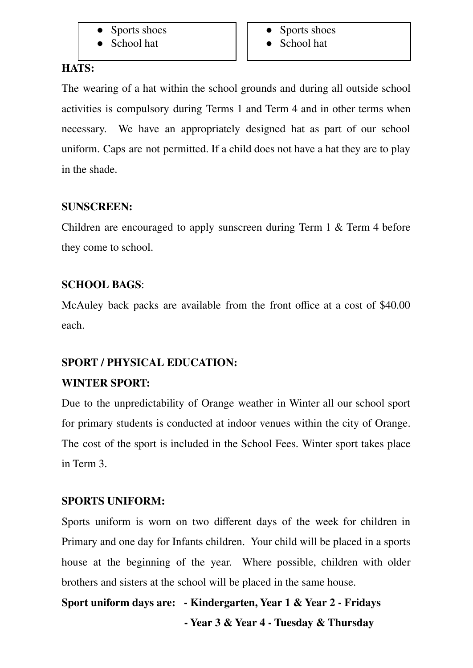- Sports shoes
- School hat
- Sports shoes
- School hat

# **HATS:**

The wearing of a hat within the school grounds and during all outside school activities is compulsory during Terms 1 and Term 4 and in other terms when necessary. We have an appropriately designed hat as part of our school uniform. Caps are not permitted. If a child does not have a hat they are to play in the shade.

# **SUNSCREEN:**

Children are encouraged to apply sunscreen during Term 1 & Term 4 before they come to school.

# **SCHOOL BAGS**:

McAuley back packs are available from the front office at a cost of \$40.00 each.

# **SPORT / PHYSICAL EDUCATION:**

# **WINTER SPORT:**

Due to the unpredictability of Orange weather in Winter all our school sport for primary students is conducted at indoor venues within the city of Orange. The cost of the sport is included in the School Fees. Winter sport takes place in Term 3.

# **SPORTS UNIFORM:**

Sports uniform is worn on two different days of the week for children in Primary and one day for Infants children. Your child will be placed in a sports house at the beginning of the year. Where possible, children with older brothers and sisters at the school will be placed in the same house.

**Sport uniform days are: - Kindergarten, Year 1 & Year 2 - Fridays - Year 3 & Year 4 - Tuesday & Thursday**